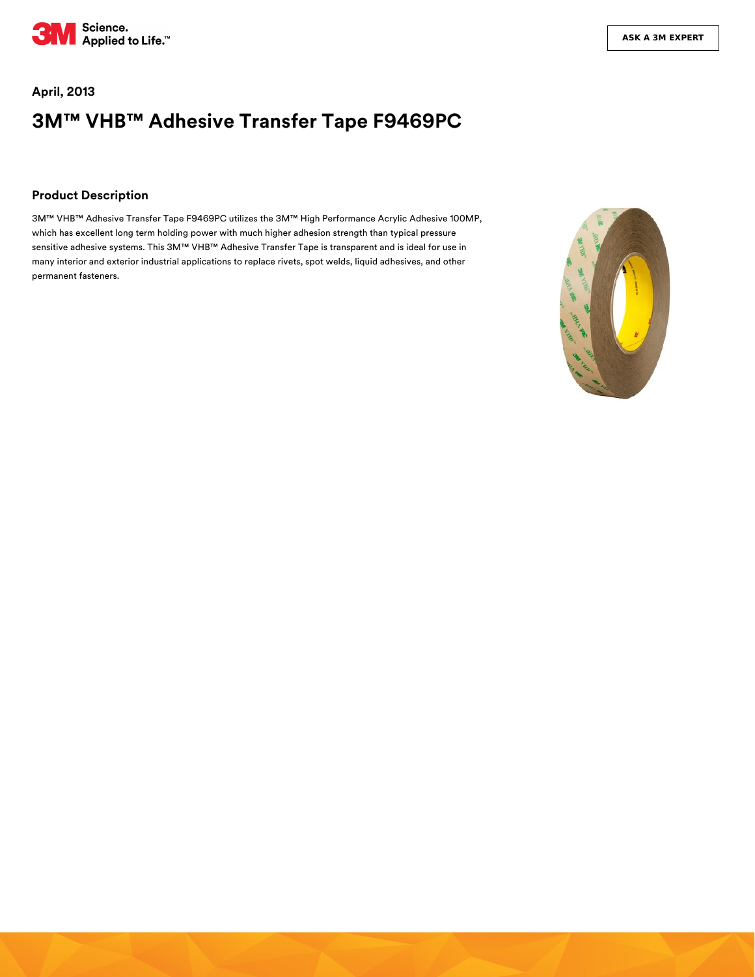

# **April, 2013 3M™ VHB™ Adhesive Transfer Tape F9469PC**

#### **Product Description**

3M™ VHB™ Adhesive Transfer Tape F9469PC utilizes the 3M™ High Performance Acrylic Adhesive 100MP, which has excellent long term holding power with much higher adhesion strength than typical pressure sensitive adhesive systems. This 3M™ VHB™ Adhesive Transfer Tape is transparent and is ideal for use in many interior and exterior industrial applications to replace rivets, spot welds, liquid adhesives, and other permanent fasteners.

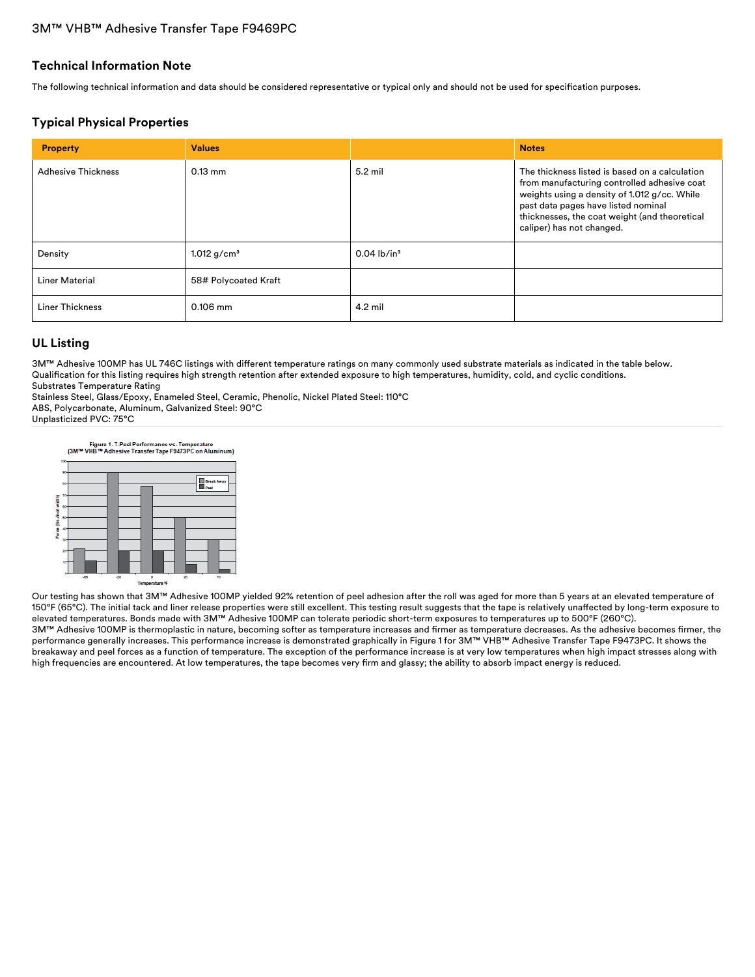#### **Technical Information Note**

The following technical information and data should be considered representative or typical only and should not be used for specification purposes.

### **Typical Physical Properties**

| <b>Property</b>           | <b>Values</b>        |                           | <b>Notes</b>                                                                                                                                                                                                                                                       |
|---------------------------|----------------------|---------------------------|--------------------------------------------------------------------------------------------------------------------------------------------------------------------------------------------------------------------------------------------------------------------|
| <b>Adhesive Thickness</b> | $0.13$ mm            | 5.2 mil                   | The thickness listed is based on a calculation<br>from manufacturing controlled adhesive coat<br>weights using a density of 1.012 g/cc. While<br>past data pages have listed nominal<br>thicknesses, the coat weight (and theoretical<br>caliper) has not changed. |
| Density                   | 1.012 $g/cm^{3}$     | $0.04$ lb/in <sup>3</sup> |                                                                                                                                                                                                                                                                    |
| <b>Liner Material</b>     | 58# Polycoated Kraft |                           |                                                                                                                                                                                                                                                                    |
| Liner Thickness           | $0.106$ mm           | $4.2$ mil                 |                                                                                                                                                                                                                                                                    |

### **UL Listing**

3M™ Adhesive 100MP has UL 746C listings with different temperature ratings on many commonly used substrate materials as indicated in the table below. Qualification for this listing requires high strength retention after extended exposure to high temperatures, humidity, cold, and cyclic conditions. Substrates Temperature Rating

Stainless Steel, Glass/Epoxy, Enameled Steel, Ceramic, Phenolic, Nickel Plated Steel: 110°C

ABS, Polycarbonate, Aluminum, Galvanized Steel: 90°C

Unplasticized PVC: 75°C

Figure 1. T-Peel Performance vs. Temperature<br>(3M™ VHB™ Adhesive Transfer Tape F9473PC on Aluminum) **D** Break A o<br>Temperature ºF

Our testing has shown that 3M™ Adhesive 100MP yielded 92% retention of peel adhesion after the roll was aged for more than 5 years at an elevated temperature of 150°F (65°C). The initial tack and liner release properties were still excellent. This testing result suggests that the tape is relatively unaffected by long-term exposure to elevated temperatures. Bonds made with 3M™ Adhesive 100MP can tolerate periodic short-term exposures to temperatures up to 500°F (260°C). 3M™ Adhesive 100MP is thermoplastic in nature, becoming softer as temperature increases and firmer as temperature decreases. As the adhesive becomes firmer, the performance generally increases. This performance increase is demonstrated graphically in Figure 1 for 3M™ VHB™ Adhesive Transfer Tape F9473PC. It shows the

breakaway and peel forces as a function of temperature. The exception of the performance increase is at very low temperatures when high impact stresses along with high frequencies are encountered. At low temperatures, the tape becomes very firm and glassy; the ability to absorb impact energy is reduced.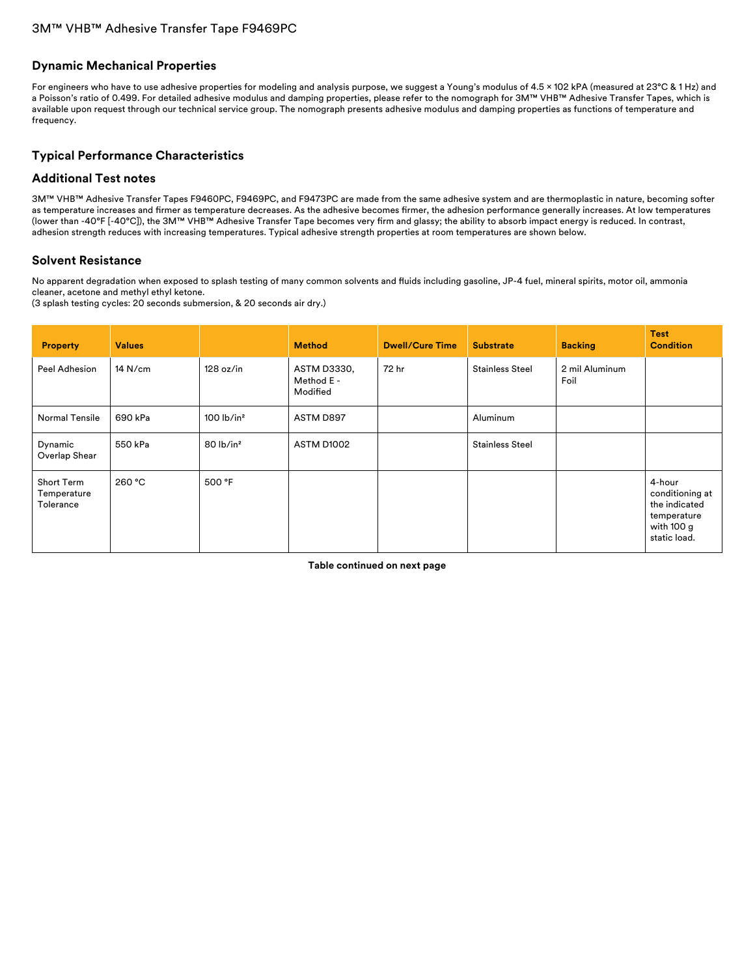#### **Dynamic Mechanical Properties**

For engineers who have to use adhesive properties for modeling and analysis purpose, we suggest a Young's modulus of 4.5 × 102 kPA (measured at 23°C & 1 Hz) and a Poisson's ratio of 0.499. For detailed adhesive modulus and damping properties, please refer to the nomograph for 3M™ VHB™ Adhesive Transfer Tapes, which is available upon request through our technical service group. The nomograph presents adhesive modulus and damping properties as functions of temperature and frequency.

### **Typical Performance Characteristics**

#### **Additional Test notes**

3M™ VHB™ Adhesive Transfer Tapes F9460PC, F9469PC, and F9473PC are made from the same adhesive system and are thermoplastic in nature, becoming softer as temperature increases and firmer as temperature decreases. As the adhesive becomes firmer, the adhesion performance generally increases. At low temperatures (lower than -40°F [-40°C]), the 3M™ VHB™ Adhesive Transfer Tape becomes very firm and glassy; the ability to absorb impact energy is reduced. In contrast, adhesion strength reduces with increasing temperatures. Typical adhesive strength properties at room temperatures are shown below.

#### **Solvent Resistance**

No apparent degradation when exposed to splash testing of many common solvents and fluids including gasoline, JP-4 fuel, mineral spirits, motor oil, ammonia cleaner, acetone and methyl ethyl ketone.

(3 splash testing cycles: 20 seconds submersion, & 20 seconds air dry.)

| <b>Property</b>                        | <b>Values</b> |                          | <b>Method</b>                         | <b>Dwell/Cure Time</b> | <b>Substrate</b>       | <b>Backing</b>         | <b>Test</b><br><b>Condition</b>                                                         |
|----------------------------------------|---------------|--------------------------|---------------------------------------|------------------------|------------------------|------------------------|-----------------------------------------------------------------------------------------|
| Peel Adhesion                          | $14$ N/cm     | 128 oz/in                | ASTM D3330,<br>Method E -<br>Modified | 72 hr                  | <b>Stainless Steel</b> | 2 mil Aluminum<br>Foil |                                                                                         |
| Normal Tensile                         | 690 kPa       | $100$ lb/in <sup>2</sup> | ASTM D897                             |                        | Aluminum               |                        |                                                                                         |
| Dynamic<br>Overlap Shear               | 550 kPa       | $80$ lb/in <sup>2</sup>  | ASTM D1002                            |                        | <b>Stainless Steel</b> |                        |                                                                                         |
| Short Term<br>Temperature<br>Tolerance | 260 °C        | 500 °F                   |                                       |                        |                        |                        | 4-hour<br>conditioning at<br>the indicated<br>temperature<br>with 100 g<br>static load. |

**Table continued on next page**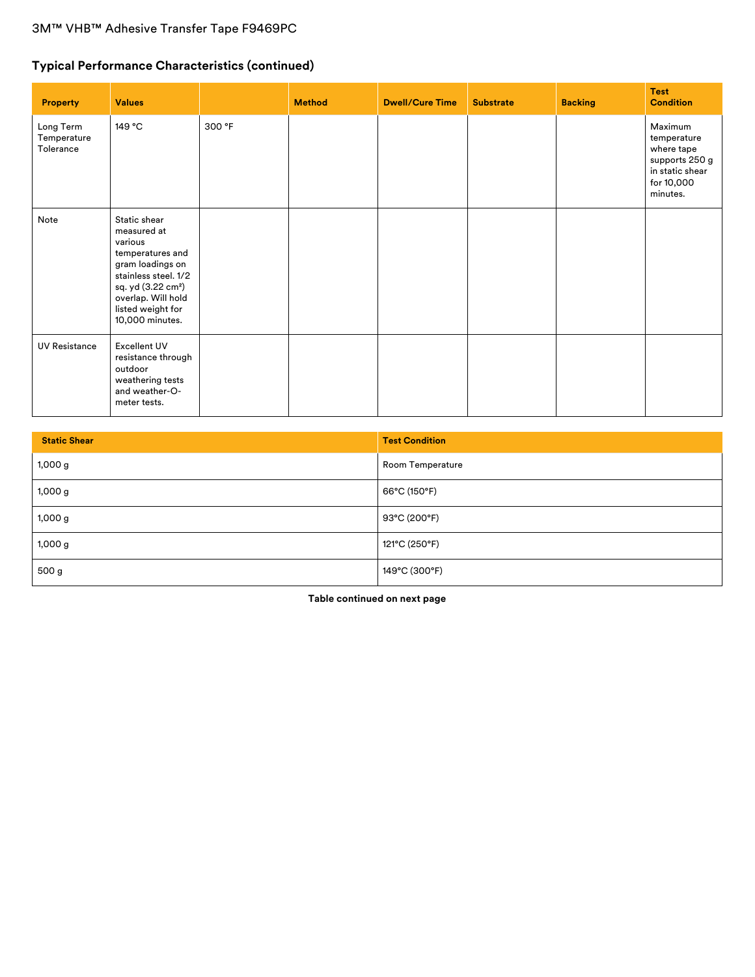# **Typical Performance Characteristics (continued)**

| <b>Property</b>                       | <b>Values</b>                                                                                                                                                                                          |        | <b>Method</b> | <b>Dwell/Cure Time</b> | <b>Substrate</b> | <b>Backing</b> | <b>Test</b><br><b>Condition</b>                                                                     |
|---------------------------------------|--------------------------------------------------------------------------------------------------------------------------------------------------------------------------------------------------------|--------|---------------|------------------------|------------------|----------------|-----------------------------------------------------------------------------------------------------|
| Long Term<br>Temperature<br>Tolerance | 149 °C                                                                                                                                                                                                 | 300 °F |               |                        |                  |                | Maximum<br>temperature<br>where tape<br>supports 250 g<br>in static shear<br>for 10,000<br>minutes. |
| Note                                  | Static shear<br>measured at<br>various<br>temperatures and<br>gram loadings on<br>stainless steel. 1/2<br>sq. yd (3.22 cm <sup>2</sup> )<br>overlap. Will hold<br>listed weight for<br>10,000 minutes. |        |               |                        |                  |                |                                                                                                     |
| <b>UV Resistance</b>                  | <b>Excellent UV</b><br>resistance through<br>outdoor<br>weathering tests<br>and weather-O-<br>meter tests.                                                                                             |        |               |                        |                  |                |                                                                                                     |

| <b>Static Shear</b> | <b>Test Condition</b> |
|---------------------|-----------------------|
| 1,000g              | Room Temperature      |
| 1,000 g             | 66°C (150°F)          |
| 1,000g              | 93°C (200°F)          |
| 1,000 g             | 121°C (250°F)         |
| 500 g               | 149°C (300°F)         |

**Table continued on next page**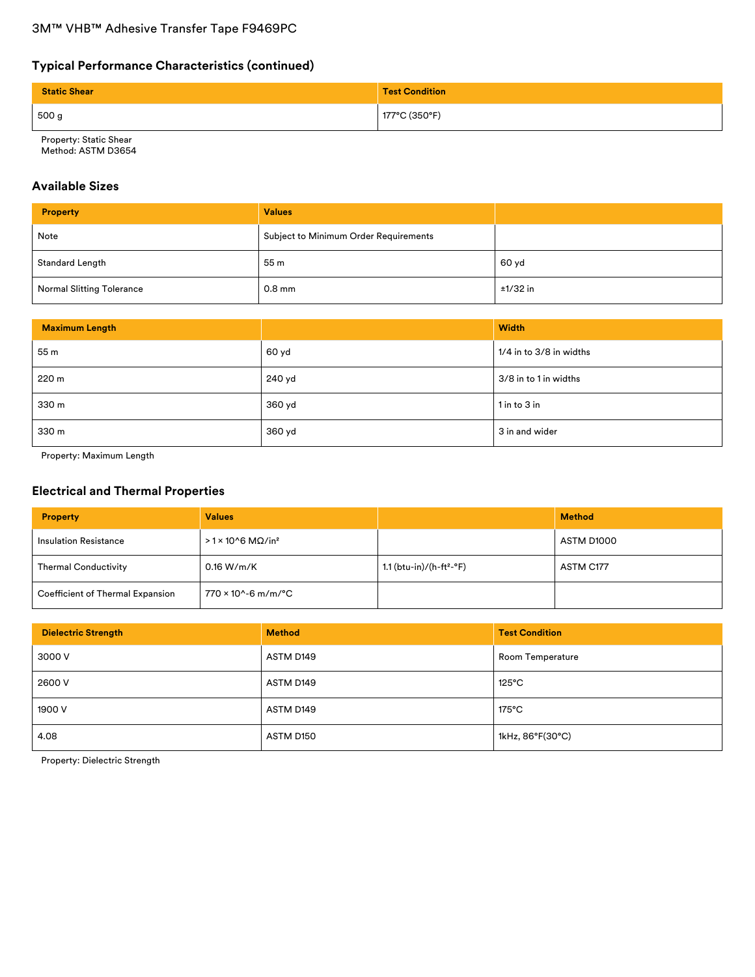# **Typical Performance Characteristics (continued)**

| <b>Static Shear</b> | <b>Test Condition</b> |
|---------------------|-----------------------|
| 500 g               | 177°C (350°F)         |

Property: Static Shear Method: ASTM D3654

### **Available Sizes**

| <b>Property</b>                  | <b>Values</b>                         |            |
|----------------------------------|---------------------------------------|------------|
| Note                             | Subject to Minimum Order Requirements |            |
| <b>Standard Length</b>           | 55 m                                  | 60 yd      |
| <b>Normal Slitting Tolerance</b> | $0.8$ mm                              | $±1/32$ in |

| <b>Maximum Length</b> |        | <b>Width</b>                |
|-----------------------|--------|-----------------------------|
| 55 m                  | 60 yd  | $1/4$ in to $3/8$ in widths |
| 220 m                 | 240 yd | 3/8 in to 1 in widths       |
| 330 m                 | 360 yd | $1$ in to $3$ in            |
| 330 m                 | 360 yd | 3 in and wider              |

Property: Maximum Length

### **Electrical and Thermal Properties**

| <b>Property</b>                  | <b>Values</b>                         |                                      | <b>Method</b> |
|----------------------------------|---------------------------------------|--------------------------------------|---------------|
| <b>Insulation Resistance</b>     | $>1 \times 10^{6}$ MΩ/in <sup>2</sup> |                                      | ASTM D1000    |
| <b>Thermal Conductivity</b>      | 0.16 W/m/K                            | 1.1 (btu-in)/(h-ft <sup>2</sup> -°F) | ASTM C177     |
| Coefficient of Thermal Expansion | 770 × 10^-6 m/m/°C                    |                                      |               |

| <b>Dielectric Strength</b> | <b>Method</b> | <b>Test Condition</b> |
|----------------------------|---------------|-----------------------|
| 3000 V                     | ASTM D149     | Room Temperature      |
| 2600 V                     | ASTM D149     | $125^{\circ}$ C       |
| 1900 V                     | ASTM D149     | $175^{\circ}$ C       |
| 4.08                       | ASTM D150     | 1kHz, 86°F(30°C)      |

Property: Dielectric Strength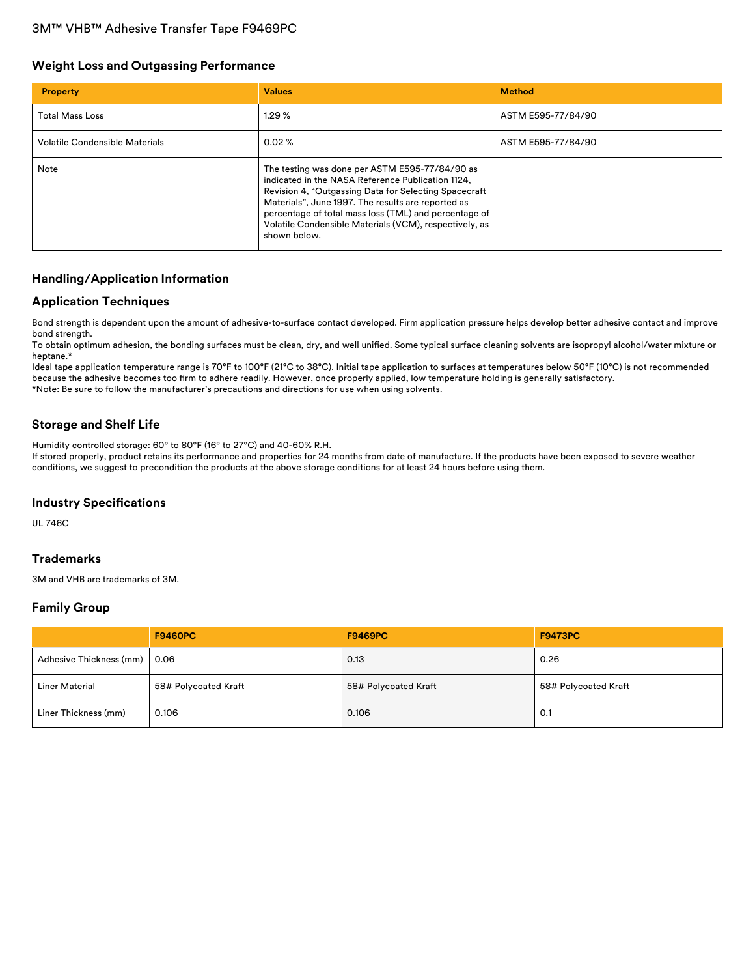### **Weight Loss and Outgassing Performance**

| <b>Property</b>                | <b>Values</b>                                                                                                                                                                                                                                                                                                                                         | <b>Method</b>      |
|--------------------------------|-------------------------------------------------------------------------------------------------------------------------------------------------------------------------------------------------------------------------------------------------------------------------------------------------------------------------------------------------------|--------------------|
| <b>Total Mass Loss</b>         | 1.29%                                                                                                                                                                                                                                                                                                                                                 | ASTM E595-77/84/90 |
| Volatile Condensible Materials | $0.02 \%$                                                                                                                                                                                                                                                                                                                                             | ASTM E595-77/84/90 |
| Note                           | The testing was done per ASTM E595-77/84/90 as<br>indicated in the NASA Reference Publication 1124,<br>Revision 4, "Outgassing Data for Selecting Spacecraft<br>Materials", June 1997. The results are reported as<br>percentage of total mass loss (TML) and percentage of<br>Volatile Condensible Materials (VCM), respectively, as<br>shown below. |                    |

### **Handling/Application Information**

### **Application Techniques**

Bond strength is dependent upon the amount of adhesive-to-surface contact developed. Firm application pressure helps develop better adhesive contact and improve bond strength.

To obtain optimum adhesion, the bonding surfaces must be clean, dry, and well unified. Some typical surface cleaning solvents are isopropyl alcohol/water mixture or heptane.\*

Ideal tape application temperature range is 70°F to 100°F (21°C to 38°C). Initial tape application to surfaces at temperatures below 50°F (10°C) is not recommended because the adhesive becomes too firm to adhere readily. However, once properly applied, low temperature holding is generally satisfactory. \*Note: Be sure to follow the manufacturer's precautions and directions for use when using solvents.

### **Storage and Shelf Life**

Humidity controlled storage: 60° to 80°F (16° to 27°C) and 40-60% R.H.

If stored properly, product retains its performance and properties for 24 months from date of manufacture. If the products have been exposed to severe weather conditions, we suggest to precondition the products at the above storage conditions for at least 24 hours before using them.

### **Industry Specifications**

UL 746C

### **Trademarks**

3M and VHB are trademarks of 3M.

### **Family Group**

|                         | <b>F9460PC</b>       | <b>F9469PC</b>       | <b>F9473PC</b>       |
|-------------------------|----------------------|----------------------|----------------------|
| Adhesive Thickness (mm) | 0.06                 | 0.13                 | 0.26                 |
| <b>Liner Material</b>   | 58# Polycoated Kraft | 58# Polycoated Kraft | 58# Polycoated Kraft |
| Liner Thickness (mm)    | 0.106                | 0.106                | 0.1                  |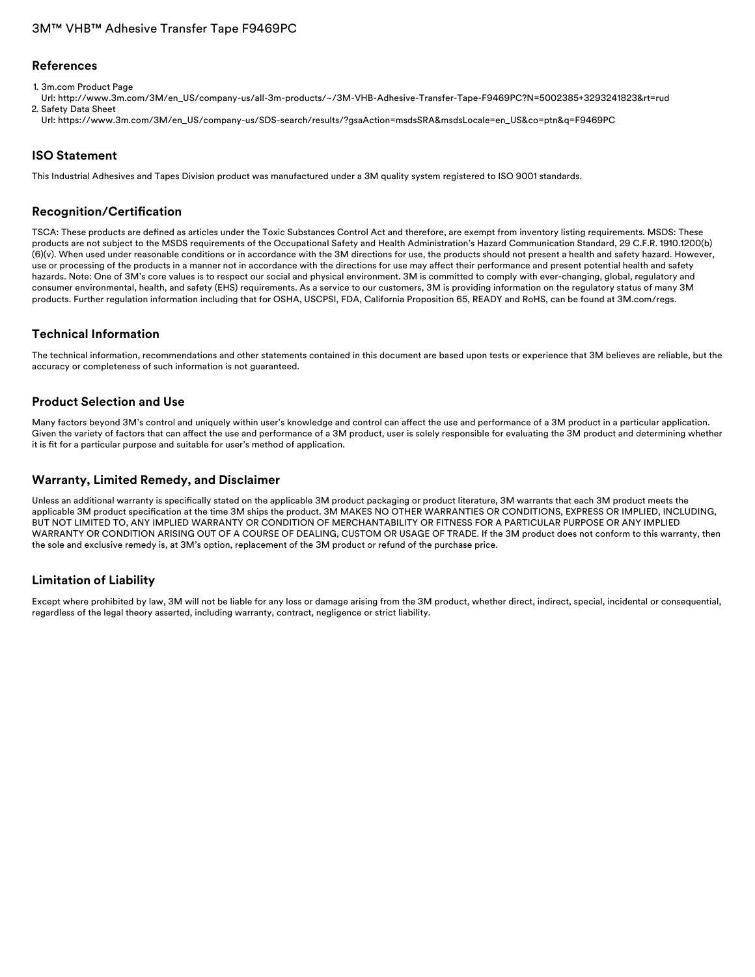#### **References**

1. 3m.com Product Page

Url: [http://www.3m.com/3M/en\\_US/company-us/all-3m-products/~/3M-VHB-Adhesive-Transfer-Tape-F9469PC?N=5002385+3293241823&rt=rud](http://www.3m.com/3M/en_US/company-us/all-3m-products/~/3M-VHB-Adhesive-Transfer-Tape-F9469PC?N=5002385+3293241823&rt=rud) 2. Safety Data Sheet

Url: [https://www.3m.com/3M/en\\_US/company-us/SDS-search/results/?gsaAction=msdsSRA&msdsLocale=en\\_US&co=ptn&q=F9469PC](https://www.3m.com/3M/en_US/company-us/SDS-search/results/?gsaAction=msdsSRA&msdsLocale=en_US&co=ptn&q=F9469PC)

### **ISO Statement**

This Industrial Adhesives and Tapes Division product was manufactured under a 3M quality system registered to ISO 9001 standards.

### **Recognition/Certification**

TSCA: These products are defined as articles under the Toxic Substances Control Act and therefore, are exempt from inventory listing requirements. MSDS: These products are not subject to the MSDS requirements of the Occupational Safety and Health Administration's Hazard Communication Standard, 29 C.F.R. 1910.1200(b) (6)(v). When used under reasonable conditions or in accordance with the 3M directions for use, the products should not present a health and safety hazard. However, use or processing of the products in a manner not in accordance with the directions for use may affect their performance and present potential health and safety hazards. Note: One of 3M's core values is to respect our social and physical environment. 3M is committed to comply with ever-changing, global, regulatory and consumer environmental, health, and safety (EHS) requirements. As a service to our customers, 3M is providing information on the regulatory status of many 3M products. Further regulation information including that for OSHA, USCPSI, FDA, California Proposition 65, READY and RoHS, can be found at 3M.com/regs.

### **Technical Information**

The technical information, recommendations and other statements contained in this document are based upon tests or experience that 3M believes are reliable, but the accuracy or completeness of such information is not guaranteed.

#### **Product Selection and Use**

Many factors beyond 3M's control and uniquely within user's knowledge and control can affect the use and performance of a 3M product in a particular application. Given the variety of factors that can affect the use and performance of a 3M product, user is solely responsible for evaluating the 3M product and determining whether it is fit for a particular purpose and suitable for user's method of application.

#### **Warranty, Limited Remedy, and Disclaimer**

Unless an additional warranty is specifically stated on the applicable 3M product packaging or product literature, 3M warrants that each 3M product meets the applicable 3M product specification at the time 3M ships the product. 3M MAKES NO OTHER WARRANTIES OR CONDITIONS, EXPRESS OR IMPLIED, INCLUDING, BUT NOT LIMITED TO, ANY IMPLIED WARRANTY OR CONDITION OF MERCHANTABILITY OR FITNESS FOR A PARTICULAR PURPOSE OR ANY IMPLIED WARRANTY OR CONDITION ARISING OUT OF A COURSE OF DEALING, CUSTOM OR USAGE OF TRADE. If the 3M product does not conform to this warranty, then the sole and exclusive remedy is, at 3M's option, replacement of the 3M product or refund of the purchase price.

### **Limitation of Liability**

Except where prohibited by law, 3M will not be liable for any loss or damage arising from the 3M product, whether direct, indirect, special, incidental or consequential, regardless of the legal theory asserted, including warranty, contract, negligence or strict liability.